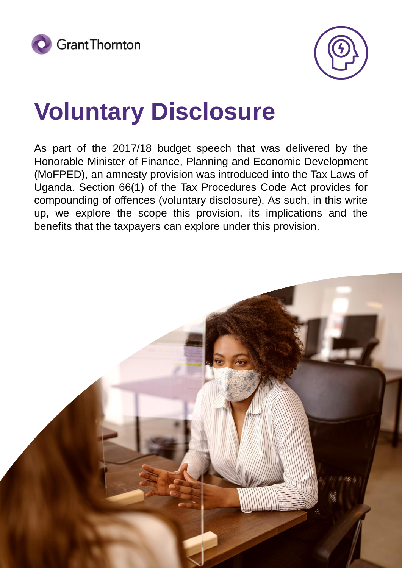



### **Voluntary Disclosure**

As part of the 2017/18 budget speech that was delivered by the Honorable Minister of Finance, Planning and Economic Development (MoFPED), an amnesty provision was introduced into the Tax Laws of Uganda. Section 66(1) of the Tax Procedures Code Act provides for compounding of offences (voluntary disclosure). As such, in this write up, we explore the scope this provision, its implications and the benefits that the taxpayers can explore under this provision.

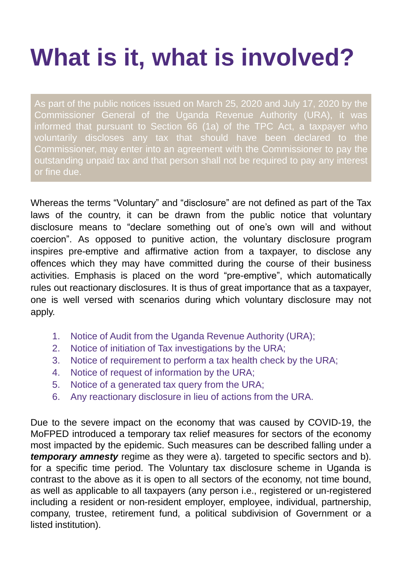# **What is it, what is involved?**

As part of the public notices issued on March 25, 2020 and July 17, 2020 by the Commissioner General of the Uganda Revenue Authority (URA), it was informed that pursuant to Section 66 (1a) of the TPC Act, a taxpayer who voluntarily discloses any tax that should have been declared to the Commissioner, may enter into an agreement with the Commissioner to pay the outstanding unpaid tax and that person shall not be required to pay any interest or fine due.

Whereas the terms "Voluntary" and "disclosure" are not defined as part of the Tax laws of the country, it can be drawn from the public notice that voluntary disclosure means to "declare something out of one's own will and without coercion". As opposed to punitive action, the voluntary disclosure program inspires pre-emptive and affirmative action from a taxpayer, to disclose any offences which they may have committed during the course of their business activities. Emphasis is placed on the word "pre-emptive", which automatically rules out reactionary disclosures. It is thus of great importance that as a taxpayer, one is well versed with scenarios during which voluntary disclosure may not apply.

- 1. Notice of Audit from the Uganda Revenue Authority (URA);
- 2. Notice of initiation of Tax investigations by the URA;
- 3. Notice of requirement to perform a tax health check by the URA;
- 4. Notice of request of information by the URA;
- 5. Notice of a generated tax query from the URA;
- 6. Any reactionary disclosure in lieu of actions from the URA.

Due to the severe impact on the economy that was caused by COVID-19, the MoFPED introduced a temporary tax relief measures for sectors of the economy most impacted by the epidemic. Such measures can be described falling under a *temporary amnesty* regime as they were a). targeted to specific sectors and b). for a specific time period. The Voluntary tax disclosure scheme in Uganda is contrast to the above as it is open to all sectors of the economy, not time bound, as well as applicable to all taxpayers (any person i.e., registered or un-registered including a resident or non-resident employer, employee, individual, partnership, company, trustee, retirement fund, a political subdivision of Government or a listed institution).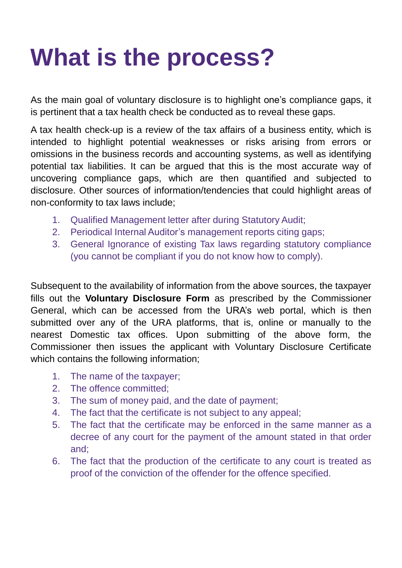## **What is the process?**

As the main goal of voluntary disclosure is to highlight one's compliance gaps, it is pertinent that a tax health check be conducted as to reveal these gaps.

A tax health check-up is a review of the tax affairs of a business entity, which is intended to highlight potential weaknesses or risks arising from errors or omissions in the business records and accounting systems, as well as identifying potential tax liabilities. It can be argued that this is the most accurate way of uncovering compliance gaps, which are then quantified and subjected to disclosure. Other sources of information/tendencies that could highlight areas of non-conformity to tax laws include;

- 1. Qualified Management letter after during Statutory Audit;
- 2. Periodical Internal Auditor's management reports citing gaps;
- 3. General Ignorance of existing Tax laws regarding statutory compliance (you cannot be compliant if you do not know how to comply).

Subsequent to the availability of information from the above sources, the taxpayer fills out the **Voluntary Disclosure Form** as prescribed by the Commissioner General, which can be accessed from the URA's web portal, which is then submitted over any of the URA platforms, that is, online or manually to the nearest Domestic tax offices. Upon submitting of the above form, the Commissioner then issues the applicant with Voluntary Disclosure Certificate which contains the following information;

- 1. The name of the taxpayer;
- 2. The offence committed;
- 3. The sum of money paid, and the date of payment;
- 4. The fact that the certificate is not subject to any appeal;
- 5. The fact that the certificate may be enforced in the same manner as a decree of any court for the payment of the amount stated in that order and;
- 6. The fact that the production of the certificate to any court is treated as proof of the conviction of the offender for the offence specified.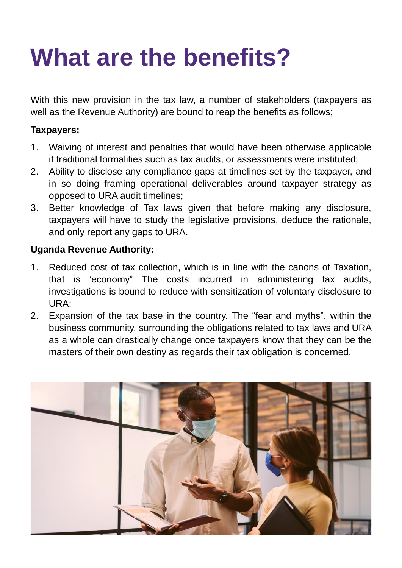### **What are the benefits?**

With this new provision in the tax law, a number of stakeholders (taxpayers as well as the Revenue Authority) are bound to reap the benefits as follows;

#### **Taxpayers:**

- 1. Waiving of interest and penalties that would have been otherwise applicable if traditional formalities such as tax audits, or assessments were instituted;
- 2. Ability to disclose any compliance gaps at timelines set by the taxpayer, and in so doing framing operational deliverables around taxpayer strategy as opposed to URA audit timelines;
- 3. Better knowledge of Tax laws given that before making any disclosure, taxpayers will have to study the legislative provisions, deduce the rationale, and only report any gaps to URA.

### **Uganda Revenue Authority:**

- 1. Reduced cost of tax collection, which is in line with the canons of Taxation, that is 'economy" The costs incurred in administering tax audits, investigations is bound to reduce with sensitization of voluntary disclosure to URA;
- 2. Expansion of the tax base in the country. The "fear and myths", within the business community, surrounding the obligations related to tax laws and URA as a whole can drastically change once taxpayers know that they can be the masters of their own destiny as regards their tax obligation is concerned.